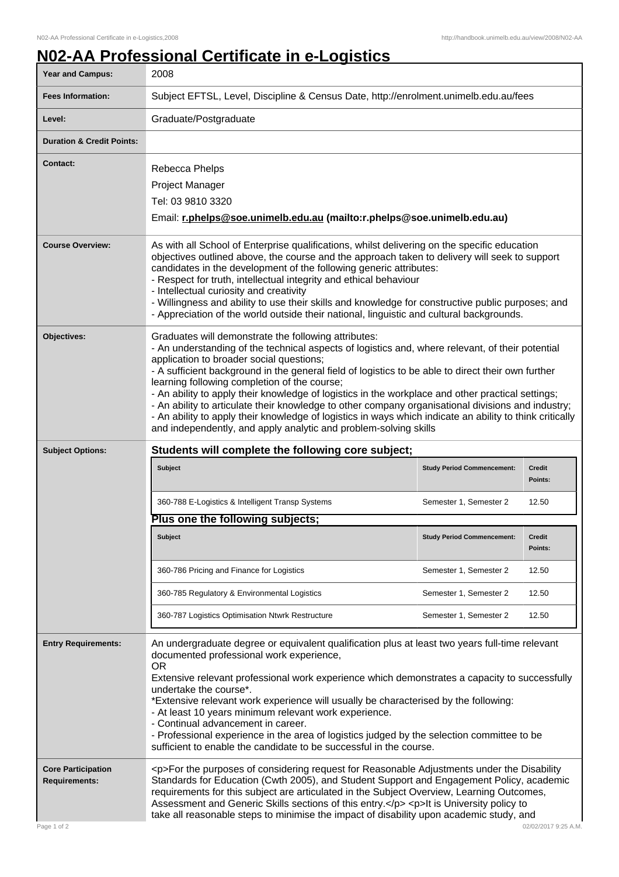## **N02-AA Professional Certificate in e-Logistics**

| Year and Campus:                                                 | 2008                                                                                                                                                                                                                                                                                                                                                                                                                                                                                                                                                                                                                                                                                                                                                  |                                   |                          |
|------------------------------------------------------------------|-------------------------------------------------------------------------------------------------------------------------------------------------------------------------------------------------------------------------------------------------------------------------------------------------------------------------------------------------------------------------------------------------------------------------------------------------------------------------------------------------------------------------------------------------------------------------------------------------------------------------------------------------------------------------------------------------------------------------------------------------------|-----------------------------------|--------------------------|
| <b>Fees Information:</b>                                         | Subject EFTSL, Level, Discipline & Census Date, http://enrolment.unimelb.edu.au/fees                                                                                                                                                                                                                                                                                                                                                                                                                                                                                                                                                                                                                                                                  |                                   |                          |
| Level:                                                           | Graduate/Postgraduate                                                                                                                                                                                                                                                                                                                                                                                                                                                                                                                                                                                                                                                                                                                                 |                                   |                          |
| <b>Duration &amp; Credit Points:</b>                             |                                                                                                                                                                                                                                                                                                                                                                                                                                                                                                                                                                                                                                                                                                                                                       |                                   |                          |
| Contact:                                                         | Rebecca Phelps<br>Project Manager<br>Tel: 03 9810 3320<br>Email: r.phelps@soe.unimelb.edu.au (mailto:r.phelps@soe.unimelb.edu.au)                                                                                                                                                                                                                                                                                                                                                                                                                                                                                                                                                                                                                     |                                   |                          |
| <b>Course Overview:</b>                                          | As with all School of Enterprise qualifications, whilst delivering on the specific education<br>objectives outlined above, the course and the approach taken to delivery will seek to support<br>candidates in the development of the following generic attributes:<br>- Respect for truth, intellectual integrity and ethical behaviour<br>- Intellectual curiosity and creativity<br>- Willingness and ability to use their skills and knowledge for constructive public purposes; and<br>- Appreciation of the world outside their national, linguistic and cultural backgrounds.                                                                                                                                                                  |                                   |                          |
| Objectives:                                                      | Graduates will demonstrate the following attributes:<br>- An understanding of the technical aspects of logistics and, where relevant, of their potential<br>application to broader social questions;<br>- A sufficient background in the general field of logistics to be able to direct their own further<br>learning following completion of the course;<br>- An ability to apply their knowledge of logistics in the workplace and other practical settings;<br>- An ability to articulate their knowledge to other company organisational divisions and industry;<br>- An ability to apply their knowledge of logistics in ways which indicate an ability to think critically<br>and independently, and apply analytic and problem-solving skills |                                   |                          |
| <b>Subject Options:</b>                                          | Students will complete the following core subject;                                                                                                                                                                                                                                                                                                                                                                                                                                                                                                                                                                                                                                                                                                    |                                   |                          |
|                                                                  | Subject                                                                                                                                                                                                                                                                                                                                                                                                                                                                                                                                                                                                                                                                                                                                               | <b>Study Period Commencement:</b> | Credit<br>Points:        |
|                                                                  | 360-788 E-Logistics & Intelligent Transp Systems                                                                                                                                                                                                                                                                                                                                                                                                                                                                                                                                                                                                                                                                                                      | Semester 1, Semester 2            | 12.50                    |
|                                                                  | Plus one the following subjects;                                                                                                                                                                                                                                                                                                                                                                                                                                                                                                                                                                                                                                                                                                                      |                                   |                          |
|                                                                  | <b>Subject</b>                                                                                                                                                                                                                                                                                                                                                                                                                                                                                                                                                                                                                                                                                                                                        | <b>Study Period Commencement:</b> | <b>Credit</b><br>Points: |
|                                                                  | 360-786 Pricing and Finance for Logistics                                                                                                                                                                                                                                                                                                                                                                                                                                                                                                                                                                                                                                                                                                             | Semester 1, Semester 2            | 12.50                    |
|                                                                  | 360-785 Regulatory & Environmental Logistics                                                                                                                                                                                                                                                                                                                                                                                                                                                                                                                                                                                                                                                                                                          | Semester 1, Semester 2            | 12.50                    |
|                                                                  | 360-787 Logistics Optimisation Ntwrk Restructure                                                                                                                                                                                                                                                                                                                                                                                                                                                                                                                                                                                                                                                                                                      | Semester 1, Semester 2            | 12.50                    |
| <b>Entry Requirements:</b>                                       | An undergraduate degree or equivalent qualification plus at least two years full-time relevant<br>documented professional work experience,<br><b>OR</b><br>Extensive relevant professional work experience which demonstrates a capacity to successfully<br>undertake the course*.<br>*Extensive relevant work experience will usually be characterised by the following:<br>- At least 10 years minimum relevant work experience.<br>- Continual advancement in career.<br>- Professional experience in the area of logistics judged by the selection committee to be<br>sufficient to enable the candidate to be successful in the course.                                                                                                          |                                   |                          |
| <b>Core Participation</b><br><b>Requirements:</b><br>Page 1 of 2 | <p>For the purposes of considering request for Reasonable Adjustments under the Disability<br/>Standards for Education (Cwth 2005), and Student Support and Engagement Policy, academic<br/>requirements for this subject are articulated in the Subject Overview, Learning Outcomes,<br/>Assessment and Generic Skills sections of this entry.</p> <p>It is University policy to<br/>take all reasonable steps to minimise the impact of disability upon academic study, and<br/>02/02/2017 9:25 A.M.</p>                                                                                                                                                                                                                                            |                                   |                          |